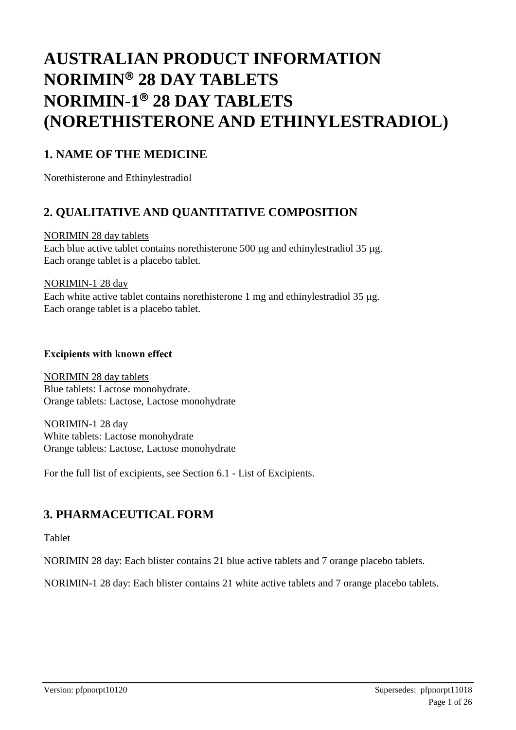# **AUSTRALIAN PRODUCT INFORMATION NORIMIN 28 DAY TABLETS NORIMIN-1 28 DAY TABLETS (NORETHISTERONE AND ETHINYLESTRADIOL)**

# **1. NAME OF THE MEDICINE**

Norethisterone and Ethinylestradiol

# **2. QUALITATIVE AND QUANTITATIVE COMPOSITION**

#### NORIMIN 28 day tablets

Each blue active tablet contains norethisterone  $500 \mu$ g and ethinylestradiol 35  $\mu$ g. Each orange tablet is a placebo tablet.

#### NORIMIN-1 28 day

Each white active tablet contains norethisterone 1 mg and ethinylestradiol 35 µg. Each orange tablet is a placebo tablet.

#### **Excipients with known effect**

NORIMIN 28 day tablets Blue tablets: Lactose monohydrate. Orange tablets: Lactose, Lactose monohydrate

NORIMIN-1 28 day White tablets: Lactose monohydrate Orange tablets: Lactose, Lactose monohydrate

For the full list of excipients, see Section 6.1 - List of Excipients.

# **3. PHARMACEUTICAL FORM**

Tablet

NORIMIN 28 day: Each blister contains 21 blue active tablets and 7 orange placebo tablets.

NORIMIN-1 28 day: Each blister contains 21 white active tablets and 7 orange placebo tablets.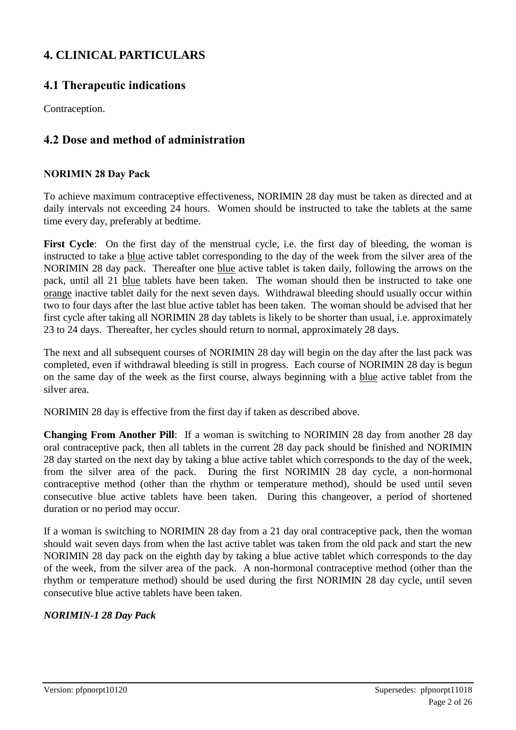# **4. CLINICAL PARTICULARS**

## **4.1 Therapeutic indications**

Contraception.

### **4.2 Dose and method of administration**

### **NORIMIN 28 Day Pack**

To achieve maximum contraceptive effectiveness, NORIMIN 28 day must be taken as directed and at daily intervals not exceeding 24 hours. Women should be instructed to take the tablets at the same time every day, preferably at bedtime.

First Cycle: On the first day of the menstrual cycle, i.e. the first day of bleeding, the woman is instructed to take a blue active tablet corresponding to the day of the week from the silver area of the NORIMIN 28 day pack. Thereafter one blue active tablet is taken daily, following the arrows on the pack, until all 21 blue tablets have been taken. The woman should then be instructed to take one orange inactive tablet daily for the next seven days. Withdrawal bleeding should usually occur within two to four days after the last blue active tablet has been taken. The woman should be advised that her first cycle after taking all NORIMIN 28 day tablets is likely to be shorter than usual, i.e. approximately 23 to 24 days. Thereafter, her cycles should return to normal, approximately 28 days.

The next and all subsequent courses of NORIMIN 28 day will begin on the day after the last pack was completed, even if withdrawal bleeding is still in progress. Each course of NORIMIN 28 day is begun on the same day of the week as the first course, always beginning with a blue active tablet from the silver area.

NORIMIN 28 day is effective from the first day if taken as described above.

**Changing From Another Pill**: If a woman is switching to NORIMIN 28 day from another 28 day oral contraceptive pack, then all tablets in the current 28 day pack should be finished and NORIMIN 28 day started on the next day by taking a blue active tablet which corresponds to the day of the week, from the silver area of the pack. During the first NORIMIN 28 day cycle, a non-hormonal contraceptive method (other than the rhythm or temperature method), should be used until seven consecutive blue active tablets have been taken. During this changeover, a period of shortened duration or no period may occur.

If a woman is switching to NORIMIN 28 day from a 21 day oral contraceptive pack, then the woman should wait seven days from when the last active tablet was taken from the old pack and start the new NORIMIN 28 day pack on the eighth day by taking a blue active tablet which corresponds to the day of the week, from the silver area of the pack. A non-hormonal contraceptive method (other than the rhythm or temperature method) should be used during the first NORIMIN 28 day cycle, until seven consecutive blue active tablets have been taken.

### *NORIMIN-1 28 Day Pack*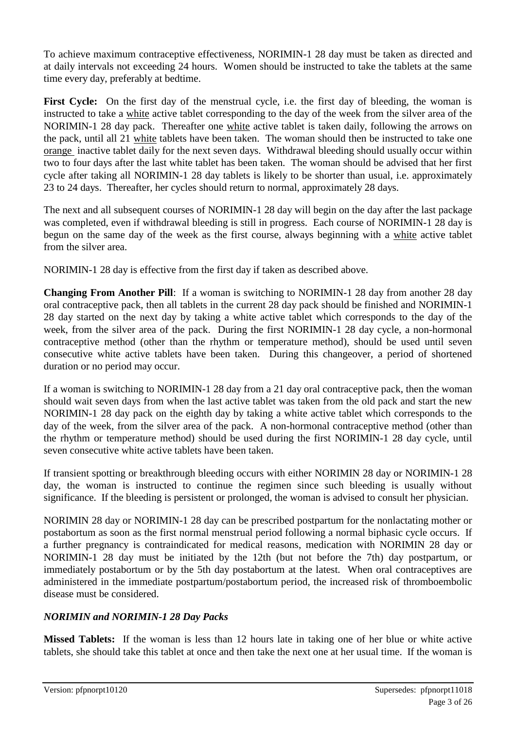To achieve maximum contraceptive effectiveness, NORIMIN-1 28 day must be taken as directed and at daily intervals not exceeding 24 hours. Women should be instructed to take the tablets at the same time every day, preferably at bedtime.

First Cycle: On the first day of the menstrual cycle, i.e. the first day of bleeding, the woman is instructed to take a white active tablet corresponding to the day of the week from the silver area of the NORIMIN-1 28 day pack. Thereafter one white active tablet is taken daily, following the arrows on the pack, until all 21 white tablets have been taken. The woman should then be instructed to take one orange inactive tablet daily for the next seven days. Withdrawal bleeding should usually occur within two to four days after the last white tablet has been taken. The woman should be advised that her first cycle after taking all NORIMIN-1 28 day tablets is likely to be shorter than usual, i.e. approximately 23 to 24 days. Thereafter, her cycles should return to normal, approximately 28 days.

The next and all subsequent courses of NORIMIN-1 28 day will begin on the day after the last package was completed, even if withdrawal bleeding is still in progress. Each course of NORIMIN-1 28 day is begun on the same day of the week as the first course, always beginning with a white active tablet from the silver area.

NORIMIN-1 28 day is effective from the first day if taken as described above.

**Changing From Another Pill**: If a woman is switching to NORIMIN-1 28 day from another 28 day oral contraceptive pack, then all tablets in the current 28 day pack should be finished and NORIMIN-1 28 day started on the next day by taking a white active tablet which corresponds to the day of the week, from the silver area of the pack. During the first NORIMIN-1 28 day cycle, a non-hormonal contraceptive method (other than the rhythm or temperature method), should be used until seven consecutive white active tablets have been taken. During this changeover, a period of shortened duration or no period may occur.

If a woman is switching to NORIMIN-1 28 day from a 21 day oral contraceptive pack, then the woman should wait seven days from when the last active tablet was taken from the old pack and start the new NORIMIN-1 28 day pack on the eighth day by taking a white active tablet which corresponds to the day of the week, from the silver area of the pack. A non-hormonal contraceptive method (other than the rhythm or temperature method) should be used during the first NORIMIN-1 28 day cycle, until seven consecutive white active tablets have been taken.

If transient spotting or breakthrough bleeding occurs with either NORIMIN 28 day or NORIMIN-1 28 day, the woman is instructed to continue the regimen since such bleeding is usually without significance. If the bleeding is persistent or prolonged, the woman is advised to consult her physician.

NORIMIN 28 day or NORIMIN-1 28 day can be prescribed postpartum for the nonlactating mother or postabortum as soon as the first normal menstrual period following a normal biphasic cycle occurs. If a further pregnancy is contraindicated for medical reasons, medication with NORIMIN 28 day or NORIMIN-1 28 day must be initiated by the 12th (but not before the 7th) day postpartum, or immediately postabortum or by the 5th day postabortum at the latest. When oral contraceptives are administered in the immediate postpartum/postabortum period, the increased risk of thromboembolic disease must be considered.

### *NORIMIN and NORIMIN-1 28 Day Packs*

**Missed Tablets:** If the woman is less than 12 hours late in taking one of her blue or white active tablets, she should take this tablet at once and then take the next one at her usual time. If the woman is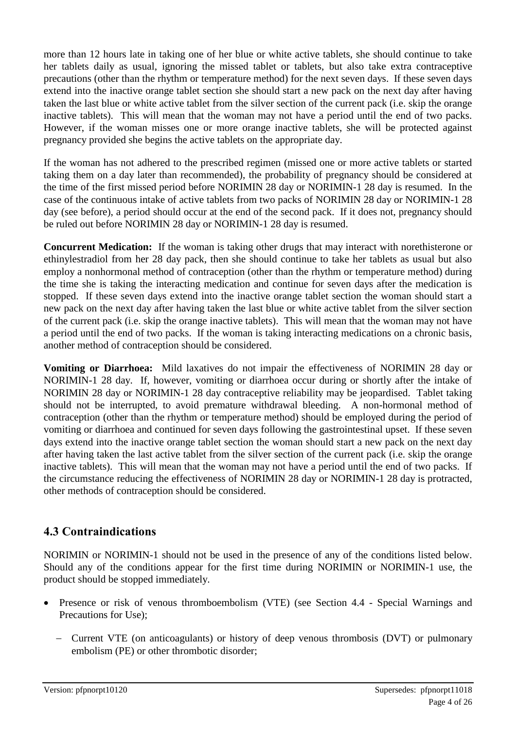more than 12 hours late in taking one of her blue or white active tablets, she should continue to take her tablets daily as usual, ignoring the missed tablet or tablets, but also take extra contraceptive precautions (other than the rhythm or temperature method) for the next seven days. If these seven days extend into the inactive orange tablet section she should start a new pack on the next day after having taken the last blue or white active tablet from the silver section of the current pack (i.e. skip the orange inactive tablets). This will mean that the woman may not have a period until the end of two packs. However, if the woman misses one or more orange inactive tablets, she will be protected against pregnancy provided she begins the active tablets on the appropriate day.

If the woman has not adhered to the prescribed regimen (missed one or more active tablets or started taking them on a day later than recommended), the probability of pregnancy should be considered at the time of the first missed period before NORIMIN 28 day or NORIMIN-1 28 day is resumed. In the case of the continuous intake of active tablets from two packs of NORIMIN 28 day or NORIMIN-1 28 day (see before), a period should occur at the end of the second pack. If it does not, pregnancy should be ruled out before NORIMIN 28 day or NORIMIN-1 28 day is resumed.

**Concurrent Medication:** If the woman is taking other drugs that may interact with norethisterone or ethinylestradiol from her 28 day pack, then she should continue to take her tablets as usual but also employ a nonhormonal method of contraception (other than the rhythm or temperature method) during the time she is taking the interacting medication and continue for seven days after the medication is stopped. If these seven days extend into the inactive orange tablet section the woman should start a new pack on the next day after having taken the last blue or white active tablet from the silver section of the current pack (i.e. skip the orange inactive tablets). This will mean that the woman may not have a period until the end of two packs. If the woman is taking interacting medications on a chronic basis, another method of contraception should be considered.

**Vomiting or Diarrhoea:** Mild laxatives do not impair the effectiveness of NORIMIN 28 day or NORIMIN-1 28 day. If, however, vomiting or diarrhoea occur during or shortly after the intake of NORIMIN 28 day or NORIMIN-1 28 day contraceptive reliability may be jeopardised. Tablet taking should not be interrupted, to avoid premature withdrawal bleeding. A non-hormonal method of contraception (other than the rhythm or temperature method) should be employed during the period of vomiting or diarrhoea and continued for seven days following the gastrointestinal upset. If these seven days extend into the inactive orange tablet section the woman should start a new pack on the next day after having taken the last active tablet from the silver section of the current pack (i.e. skip the orange inactive tablets). This will mean that the woman may not have a period until the end of two packs. If the circumstance reducing the effectiveness of NORIMIN 28 day or NORIMIN-1 28 day is protracted, other methods of contraception should be considered.

# **4.3 Contraindications**

NORIMIN or NORIMIN-1 should not be used in the presence of any of the conditions listed below. Should any of the conditions appear for the first time during NORIMIN or NORIMIN-1 use, the product should be stopped immediately.

- Presence or risk of venous thromboembolism (VTE) (see Section 4.4 Special Warnings and Precautions for Use);
	- Current VTE (on anticoagulants) or history of deep venous thrombosis (DVT) or pulmonary embolism (PE) or other thrombotic disorder;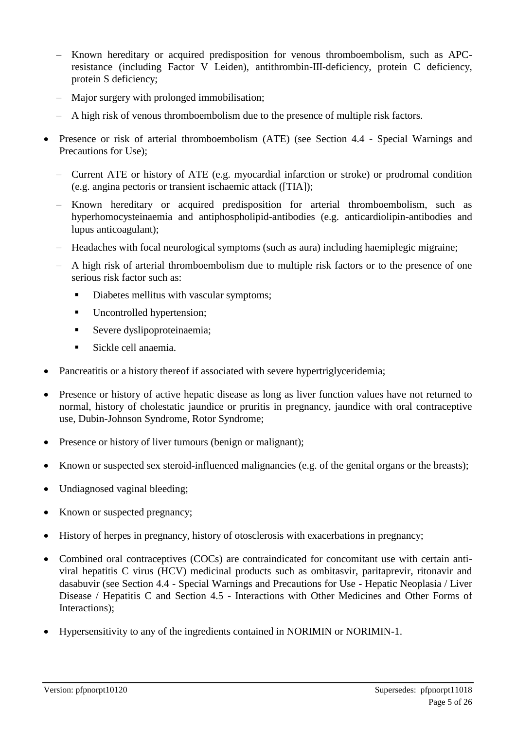- Known hereditary or acquired predisposition for venous thromboembolism, such as APCresistance (including Factor V Leiden), antithrombin-III-deficiency, protein C deficiency, protein S deficiency;
- Major surgery with prolonged immobilisation;
- A high risk of venous thromboembolism due to the presence of multiple risk factors.
- Presence or risk of arterial thromboembolism (ATE) (see Section 4.4 Special Warnings and Precautions for Use);
	- Current ATE or history of ATE (e.g. myocardial infarction or stroke) or prodromal condition (e.g. angina pectoris or transient ischaemic attack ([TIA]);
	- Known hereditary or acquired predisposition for arterial thromboembolism, such as hyperhomocysteinaemia and antiphospholipid-antibodies (e.g. anticardiolipin-antibodies and lupus anticoagulant);
	- Headaches with focal neurological symptoms (such as aura) including haemiplegic migraine;
	- A high risk of arterial thromboembolism due to multiple risk factors or to the presence of one serious risk factor such as:
		- Diabetes mellitus with vascular symptoms;
		- Uncontrolled hypertension;
		- Severe dyslipoproteinaemia;
		- Sickle cell anaemia.
- Pancreatitis or a history thereof if associated with severe hypertriglyceridemia;
- Presence or history of active hepatic disease as long as liver function values have not returned to normal, history of cholestatic jaundice or pruritis in pregnancy, jaundice with oral contraceptive use, Dubin-Johnson Syndrome, Rotor Syndrome;
- Presence or history of liver tumours (benign or malignant);
- Known or suspected sex steroid-influenced malignancies (e.g. of the genital organs or the breasts);
- Undiagnosed vaginal bleeding;
- Known or suspected pregnancy;
- History of herpes in pregnancy, history of otosclerosis with exacerbations in pregnancy;
- Combined oral contraceptives (COCs) are contraindicated for concomitant use with certain antiviral hepatitis C virus (HCV) medicinal products such as ombitasvir, paritaprevir, ritonavir and dasabuvir (see Section 4.4 - Special Warnings and Precautions for Use **-** Hepatic Neoplasia / Liver Disease / Hepatitis C and Section 4.5 - Interactions with Other Medicines and Other Forms of Interactions);
- Hypersensitivity to any of the ingredients contained in NORIMIN or NORIMIN-1.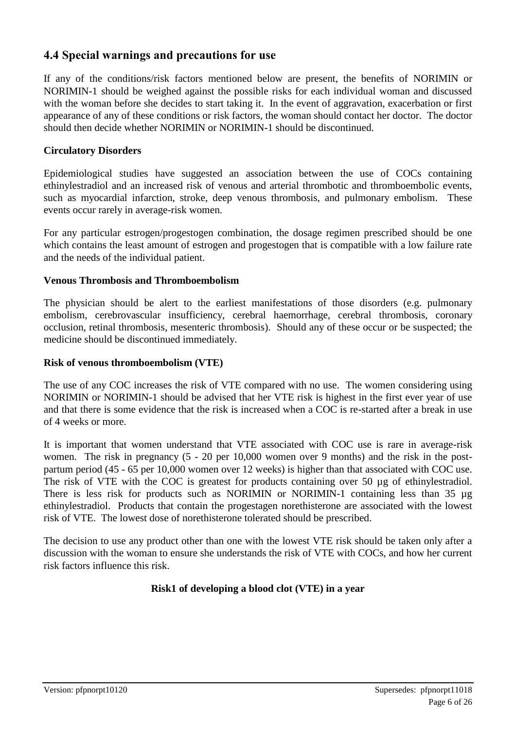### **4.4 Special warnings and precautions for use**

If any of the conditions/risk factors mentioned below are present, the benefits of NORIMIN or NORIMIN-1 should be weighed against the possible risks for each individual woman and discussed with the woman before she decides to start taking it. In the event of aggravation, exacerbation or first appearance of any of these conditions or risk factors, the woman should contact her doctor. The doctor should then decide whether NORIMIN or NORIMIN-1 should be discontinued.

#### **Circulatory Disorders**

Epidemiological studies have suggested an association between the use of COCs containing ethinylestradiol and an increased risk of venous and arterial thrombotic and thromboembolic events, such as myocardial infarction, stroke, deep venous thrombosis, and pulmonary embolism. These events occur rarely in average-risk women.

For any particular estrogen/progestogen combination, the dosage regimen prescribed should be one which contains the least amount of estrogen and progestogen that is compatible with a low failure rate and the needs of the individual patient.

#### **Venous Thrombosis and Thromboembolism**

The physician should be alert to the earliest manifestations of those disorders (e.g. pulmonary embolism, cerebrovascular insufficiency, cerebral haemorrhage, cerebral thrombosis, coronary occlusion, retinal thrombosis, mesenteric thrombosis). Should any of these occur or be suspected; the medicine should be discontinued immediately.

#### **Risk of venous thromboembolism (VTE)**

The use of any COC increases the risk of VTE compared with no use. The women considering using NORIMIN or NORIMIN-1 should be advised that her VTE risk is highest in the first ever year of use and that there is some evidence that the risk is increased when a COC is re-started after a break in use of 4 weeks or more.

It is important that women understand that VTE associated with COC use is rare in average-risk women. The risk in pregnancy (5 - 20 per 10,000 women over 9 months) and the risk in the postpartum period (45 - 65 per 10,000 women over 12 weeks) is higher than that associated with COC use. The risk of VTE with the COC is greatest for products containing over 50 µg of ethinylestradiol. There is less risk for products such as NORIMIN or NORIMIN-1 containing less than 35 µg ethinylestradiol. Products that contain the progestagen norethisterone are associated with the lowest risk of VTE. The lowest dose of norethisterone tolerated should be prescribed.

The decision to use any product other than one with the lowest VTE risk should be taken only after a discussion with the woman to ensure she understands the risk of VTE with COCs, and how her current risk factors influence this risk.

#### **Risk1 of developing a blood clot (VTE) in a year**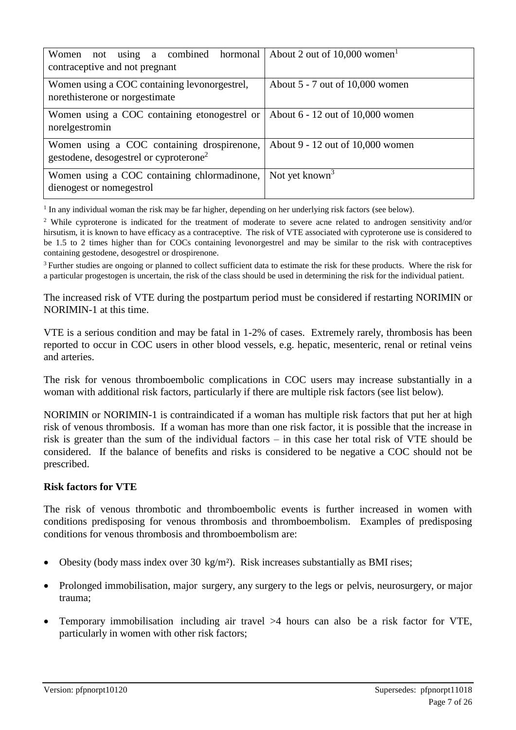| Women not using a combined hormonal<br>contraceptive and not pregnant                            | About 2 out of $10,000$ women <sup>1</sup> |
|--------------------------------------------------------------------------------------------------|--------------------------------------------|
| Women using a COC containing levonorgestrel,<br>norethisterone or norgestimate                   | About $5 - 7$ out of 10,000 women          |
| Women using a COC containing etonogestrel or<br>norelgestromin                                   | About $6 - 12$ out of 10,000 women         |
| Women using a COC containing drospirenone,<br>gestodene, desogestrel or cyproterone <sup>2</sup> | About 9 - 12 out of 10,000 women           |
| Women using a COC containing chlormadinone,<br>dienogest or nomegestrol                          | Not yet known <sup>3</sup>                 |

<sup>1</sup> In any individual woman the risk may be far higher, depending on her underlying risk factors (see below).

<sup>2</sup> While cyproterone is indicated for the treatment of moderate to severe acne related to androgen sensitivity and/or hirsutism, it is known to have efficacy as a contraceptive. The risk of VTE associated with cyproterone use is considered to be 1.5 to 2 times higher than for COCs containing levonorgestrel and may be similar to the risk with contraceptives containing gestodene, desogestrel or drospirenone.

<sup>3</sup> Further studies are ongoing or planned to collect sufficient data to estimate the risk for these products. Where the risk for a particular progestogen is uncertain, the risk of the class should be used in determining the risk for the individual patient.

The increased risk of VTE during the postpartum period must be considered if restarting NORIMIN or NORIMIN-1 at this time.

VTE is a serious condition and may be fatal in 1-2% of cases. Extremely rarely, thrombosis has been reported to occur in COC users in other blood vessels, e.g. hepatic, mesenteric, renal or retinal veins and arteries.

The risk for venous thromboembolic complications in COC users may increase substantially in a woman with additional risk factors, particularly if there are multiple risk factors (see list below).

NORIMIN or NORIMIN-1 is contraindicated if a woman has multiple risk factors that put her at high risk of venous thrombosis. If a woman has more than one risk factor, it is possible that the increase in risk is greater than the sum of the individual factors – in this case her total risk of VTE should be considered. If the balance of benefits and risks is considered to be negative a COC should not be prescribed.

#### **Risk factors for VTE**

The risk of venous thrombotic and thromboembolic events is further increased in women with conditions predisposing for venous thrombosis and thromboembolism. Examples of predisposing conditions for venous thrombosis and thromboembolism are:

- Obesity (body mass index over 30 kg/m²). Risk increases substantially as BMI rises;
- Prolonged immobilisation, major surgery, any surgery to the legs or pelvis, neurosurgery, or major trauma;
- Temporary immobilisation including air travel >4 hours can also be a risk factor for VTE, particularly in women with other risk factors;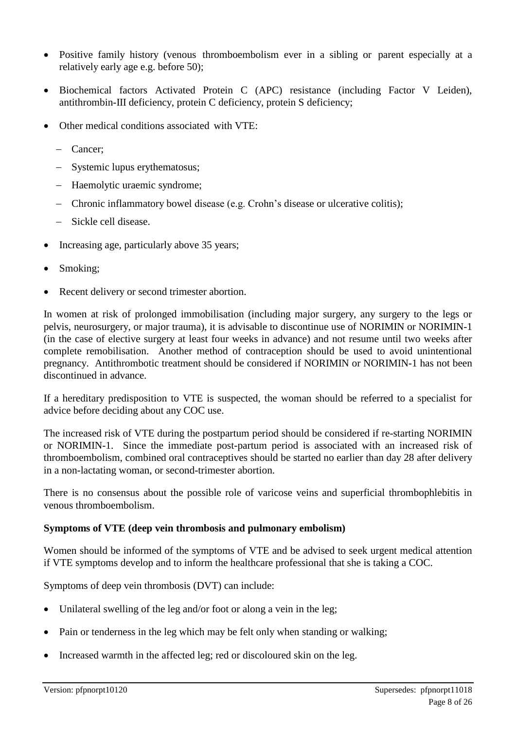- Positive family history (venous thromboembolism ever in a sibling or parent especially at a relatively early age e.g. before 50);
- Biochemical factors Activated Protein C (APC) resistance (including Factor V Leiden), antithrombin-III deficiency, protein C deficiency, protein S deficiency;
- Other medical conditions associated with VTE:
	- Cancer;
	- Systemic lupus erythematosus;
	- Haemolytic uraemic syndrome:
	- Chronic inflammatory bowel disease (e.g. Crohn's disease or ulcerative colitis);
	- Sickle cell disease.
- Increasing age, particularly above 35 years;
- Smoking;
- Recent delivery or second trimester abortion.

In women at risk of prolonged immobilisation (including major surgery, any surgery to the legs or pelvis, neurosurgery, or major trauma), it is advisable to discontinue use of NORIMIN or NORIMIN-1 (in the case of elective surgery at least four weeks in advance) and not resume until two weeks after complete remobilisation. Another method of contraception should be used to avoid unintentional pregnancy. Antithrombotic treatment should be considered if NORIMIN or NORIMIN-1 has not been discontinued in advance.

If a hereditary predisposition to VTE is suspected, the woman should be referred to a specialist for advice before deciding about any COC use.

The increased risk of VTE during the postpartum period should be considered if re-starting NORIMIN or NORIMIN-1. Since the immediate post-partum period is associated with an increased risk of thromboembolism, combined oral contraceptives should be started no earlier than day 28 after delivery in a non-lactating woman, or second-trimester abortion.

There is no consensus about the possible role of varicose veins and superficial thrombophlebitis in venous thromboembolism.

#### **Symptoms of VTE (deep vein thrombosis and pulmonary embolism)**

Women should be informed of the symptoms of VTE and be advised to seek urgent medical attention if VTE symptoms develop and to inform the healthcare professional that she is taking a COC.

Symptoms of deep vein thrombosis (DVT) can include:

- Unilateral swelling of the leg and/or foot or along a vein in the leg;
- Pain or tenderness in the leg which may be felt only when standing or walking;
- Increased warmth in the affected leg; red or discoloured skin on the leg.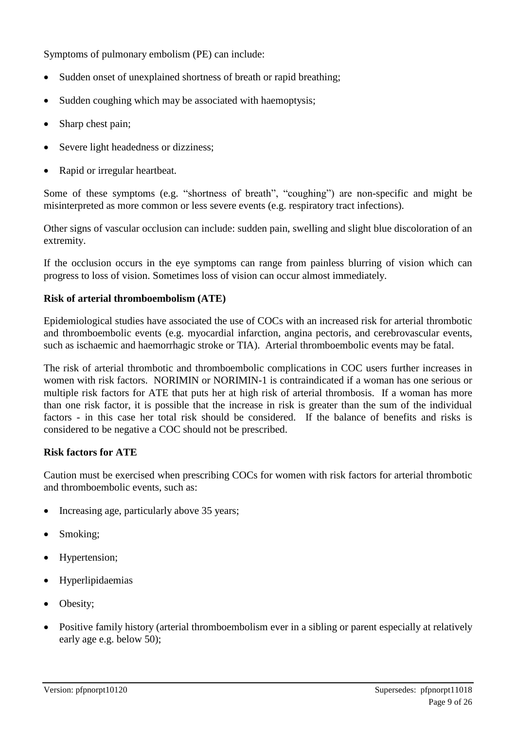Symptoms of pulmonary embolism (PE) can include:

- Sudden onset of unexplained shortness of breath or rapid breathing;
- Sudden coughing which may be associated with haemoptysis;
- Sharp chest pain;
- Severe light headedness or dizziness;
- Rapid or irregular heartbeat.

Some of these symptoms (e.g. "shortness of breath", "coughing") are non-specific and might be misinterpreted as more common or less severe events (e.g. respiratory tract infections).

Other signs of vascular occlusion can include: sudden pain, swelling and slight blue discoloration of an extremity.

If the occlusion occurs in the eye symptoms can range from painless blurring of vision which can progress to loss of vision. Sometimes loss of vision can occur almost immediately.

#### **Risk of arterial thromboembolism (ATE)**

Epidemiological studies have associated the use of COCs with an increased risk for arterial thrombotic and thromboembolic events (e.g. myocardial infarction, angina pectoris, and cerebrovascular events, such as ischaemic and haemorrhagic stroke or TIA). Arterial thromboembolic events may be fatal.

The risk of arterial thrombotic and thromboembolic complications in COC users further increases in women with risk factors. NORIMIN or NORIMIN-1 is contraindicated if a woman has one serious or multiple risk factors for ATE that puts her at high risk of arterial thrombosis. If a woman has more than one risk factor, it is possible that the increase in risk is greater than the sum of the individual factors - in this case her total risk should be considered. If the balance of benefits and risks is considered to be negative a COC should not be prescribed.

#### **Risk factors for ATE**

Caution must be exercised when prescribing COCs for women with risk factors for arterial thrombotic and thromboembolic events, such as:

- Increasing age, particularly above 35 years;
- Smoking;
- Hypertension;
- Hyperlipidaemias
- Obesity;
- Positive family history (arterial thromboembolism ever in a sibling or parent especially at relatively early age e.g. below 50);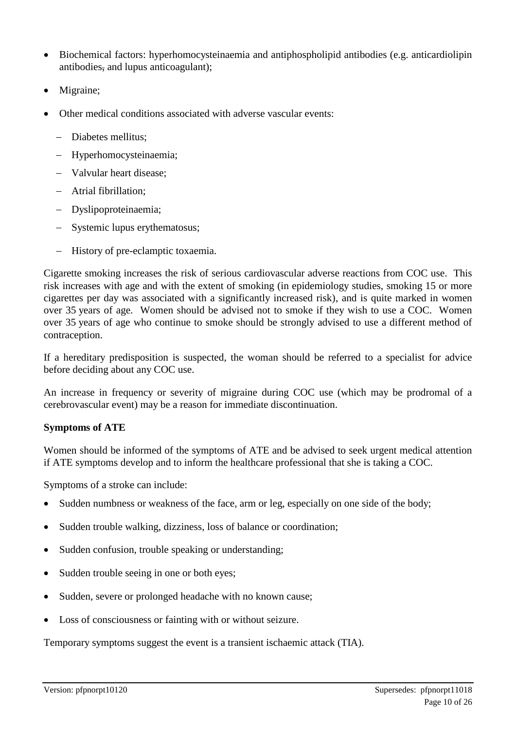- Biochemical factors: hyperhomocysteinaemia and antiphospholipid antibodies (e.g. anticardiolipin antibodies, and lupus anticoagulant);
- Migraine;
- Other medical conditions associated with adverse vascular events:
	- Diabetes mellitus;
	- Hyperhomocysteinaemia;
	- Valvular heart disease:
	- Atrial fibrillation;
	- Dyslipoproteinaemia;
	- Systemic lupus erythematosus;
	- History of pre-eclamptic toxaemia.

Cigarette smoking increases the risk of serious cardiovascular adverse reactions from COC use. This risk increases with age and with the extent of smoking (in epidemiology studies, smoking 15 or more cigarettes per day was associated with a significantly increased risk), and is quite marked in women over 35 years of age. Women should be advised not to smoke if they wish to use a COC. Women over 35 years of age who continue to smoke should be strongly advised to use a different method of contraception.

If a hereditary predisposition is suspected, the woman should be referred to a specialist for advice before deciding about any COC use.

An increase in frequency or severity of migraine during COC use (which may be prodromal of a cerebrovascular event) may be a reason for immediate discontinuation.

#### **Symptoms of ATE**

Women should be informed of the symptoms of ATE and be advised to seek urgent medical attention if ATE symptoms develop and to inform the healthcare professional that she is taking a COC.

Symptoms of a stroke can include:

- Sudden numbness or weakness of the face, arm or leg, especially on one side of the body;
- Sudden trouble walking, dizziness, loss of balance or coordination;
- Sudden confusion, trouble speaking or understanding;
- Sudden trouble seeing in one or both eyes;
- Sudden, severe or prolonged headache with no known cause;
- Loss of consciousness or fainting with or without seizure.

Temporary symptoms suggest the event is a transient ischaemic attack (TIA).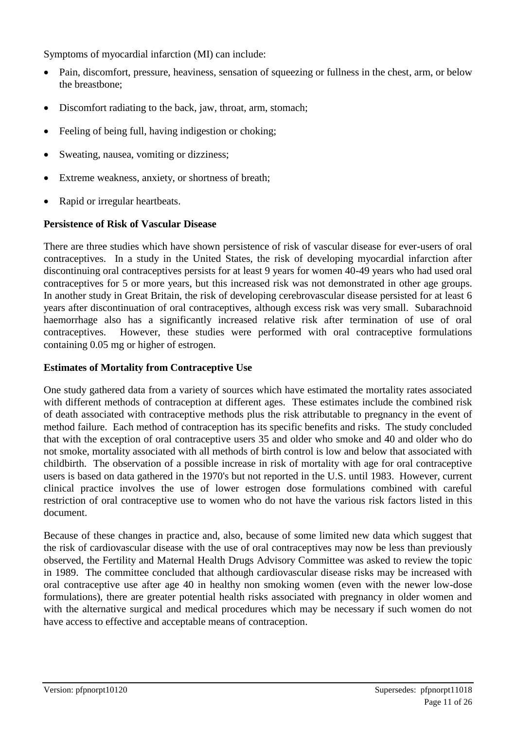Symptoms of myocardial infarction (MI) can include:

- Pain, discomfort, pressure, heaviness, sensation of squeezing or fullness in the chest, arm, or below the breastbone;
- Discomfort radiating to the back, jaw, throat, arm, stomach;
- Feeling of being full, having indigestion or choking;
- Sweating, nausea, vomiting or dizziness;
- Extreme weakness, anxiety, or shortness of breath;
- Rapid or irregular heartbeats.

#### **Persistence of Risk of Vascular Disease**

There are three studies which have shown persistence of risk of vascular disease for ever-users of oral contraceptives. In a study in the United States, the risk of developing myocardial infarction after discontinuing oral contraceptives persists for at least 9 years for women 40-49 years who had used oral contraceptives for 5 or more years, but this increased risk was not demonstrated in other age groups. In another study in Great Britain, the risk of developing cerebrovascular disease persisted for at least 6 years after discontinuation of oral contraceptives, although excess risk was very small. Subarachnoid haemorrhage also has a significantly increased relative risk after termination of use of oral contraceptives. However, these studies were performed with oral contraceptive formulations containing 0.05 mg or higher of estrogen.

#### **Estimates of Mortality from Contraceptive Use**

One study gathered data from a variety of sources which have estimated the mortality rates associated with different methods of contraception at different ages. These estimates include the combined risk of death associated with contraceptive methods plus the risk attributable to pregnancy in the event of method failure. Each method of contraception has its specific benefits and risks. The study concluded that with the exception of oral contraceptive users 35 and older who smoke and 40 and older who do not smoke, mortality associated with all methods of birth control is low and below that associated with childbirth. The observation of a possible increase in risk of mortality with age for oral contraceptive users is based on data gathered in the 1970's but not reported in the U.S. until 1983. However, current clinical practice involves the use of lower estrogen dose formulations combined with careful restriction of oral contraceptive use to women who do not have the various risk factors listed in this document.

Because of these changes in practice and, also, because of some limited new data which suggest that the risk of cardiovascular disease with the use of oral contraceptives may now be less than previously observed, the Fertility and Maternal Health Drugs Advisory Committee was asked to review the topic in 1989. The committee concluded that although cardiovascular disease risks may be increased with oral contraceptive use after age 40 in healthy non smoking women (even with the newer low-dose formulations), there are greater potential health risks associated with pregnancy in older women and with the alternative surgical and medical procedures which may be necessary if such women do not have access to effective and acceptable means of contraception.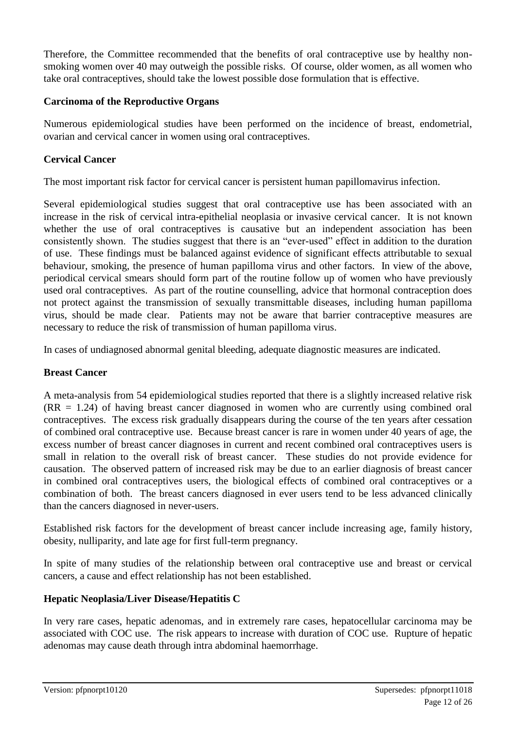Therefore, the Committee recommended that the benefits of oral contraceptive use by healthy nonsmoking women over 40 may outweigh the possible risks. Of course, older women, as all women who take oral contraceptives, should take the lowest possible dose formulation that is effective.

#### **Carcinoma of the Reproductive Organs**

Numerous epidemiological studies have been performed on the incidence of breast, endometrial, ovarian and cervical cancer in women using oral contraceptives.

### **Cervical Cancer**

The most important risk factor for cervical cancer is persistent human papillomavirus infection.

Several epidemiological studies suggest that oral contraceptive use has been associated with an increase in the risk of cervical intra-epithelial neoplasia or invasive cervical cancer. It is not known whether the use of oral contraceptives is causative but an independent association has been consistently shown. The studies suggest that there is an "ever-used" effect in addition to the duration of use. These findings must be balanced against evidence of significant effects attributable to sexual behaviour, smoking, the presence of human papilloma virus and other factors. In view of the above, periodical cervical smears should form part of the routine follow up of women who have previously used oral contraceptives. As part of the routine counselling, advice that hormonal contraception does not protect against the transmission of sexually transmittable diseases, including human papilloma virus, should be made clear. Patients may not be aware that barrier contraceptive measures are necessary to reduce the risk of transmission of human papilloma virus.

In cases of undiagnosed abnormal genital bleeding, adequate diagnostic measures are indicated.

#### **Breast Cancer**

A meta-analysis from 54 epidemiological studies reported that there is a slightly increased relative risk (RR = 1.24) of having breast cancer diagnosed in women who are currently using combined oral contraceptives. The excess risk gradually disappears during the course of the ten years after cessation of combined oral contraceptive use. Because breast cancer is rare in women under 40 years of age, the excess number of breast cancer diagnoses in current and recent combined oral contraceptives users is small in relation to the overall risk of breast cancer. These studies do not provide evidence for causation. The observed pattern of increased risk may be due to an earlier diagnosis of breast cancer in combined oral contraceptives users, the biological effects of combined oral contraceptives or a combination of both. The breast cancers diagnosed in ever users tend to be less advanced clinically than the cancers diagnosed in never-users.

Established risk factors for the development of breast cancer include increasing age, family history, obesity, nulliparity, and late age for first full-term pregnancy.

In spite of many studies of the relationship between oral contraceptive use and breast or cervical cancers, a cause and effect relationship has not been established.

#### **Hepatic Neoplasia/Liver Disease/Hepatitis C**

In very rare cases, hepatic adenomas, and in extremely rare cases, hepatocellular carcinoma may be associated with COC use. The risk appears to increase with duration of COC use. Rupture of hepatic adenomas may cause death through intra abdominal haemorrhage.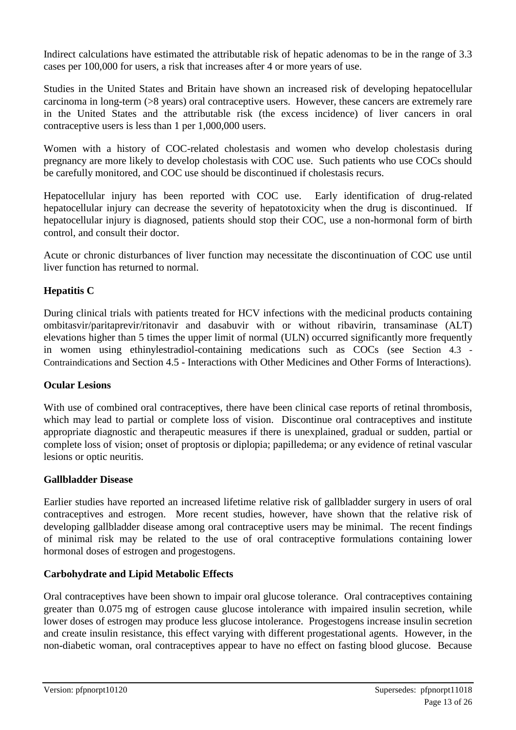Indirect calculations have estimated the attributable risk of hepatic adenomas to be in the range of 3.3 cases per 100,000 for users, a risk that increases after 4 or more years of use.

Studies in the United States and Britain have shown an increased risk of developing hepatocellular carcinoma in long-term (>8 years) oral contraceptive users. However, these cancers are extremely rare in the United States and the attributable risk (the excess incidence) of liver cancers in oral contraceptive users is less than 1 per 1,000,000 users.

Women with a history of COC-related cholestasis and women who develop cholestasis during pregnancy are more likely to develop cholestasis with COC use. Such patients who use COCs should be carefully monitored, and COC use should be discontinued if cholestasis recurs.

Hepatocellular injury has been reported with COC use. Early identification of drug-related hepatocellular injury can decrease the severity of hepatotoxicity when the drug is discontinued. If hepatocellular injury is diagnosed, patients should stop their COC, use a non-hormonal form of birth control, and consult their doctor.

Acute or chronic disturbances of liver function may necessitate the discontinuation of COC use until liver function has returned to normal.

### **Hepatitis C**

During clinical trials with patients treated for HCV infections with the medicinal products containing ombitasvir/paritaprevir/ritonavir and dasabuvir with or without ribavirin, transaminase (ALT) elevations higher than 5 times the upper limit of normal (ULN) occurred significantly more frequently in women using ethinylestradiol-containing medications such as COCs (see Section 4.3 - Contraindications and Section 4.5 - Interactions with Other Medicines and Other Forms of Interactions).

#### **Ocular Lesions**

With use of combined oral contraceptives, there have been clinical case reports of retinal thrombosis, which may lead to partial or complete loss of vision. Discontinue oral contraceptives and institute appropriate diagnostic and therapeutic measures if there is unexplained, gradual or sudden, partial or complete loss of vision; onset of proptosis or diplopia; papilledema; or any evidence of retinal vascular lesions or optic neuritis.

#### **Gallbladder Disease**

Earlier studies have reported an increased lifetime relative risk of gallbladder surgery in users of oral contraceptives and estrogen. More recent studies, however, have shown that the relative risk of developing gallbladder disease among oral contraceptive users may be minimal. The recent findings of minimal risk may be related to the use of oral contraceptive formulations containing lower hormonal doses of estrogen and progestogens.

#### **Carbohydrate and Lipid Metabolic Effects**

Oral contraceptives have been shown to impair oral glucose tolerance. Oral contraceptives containing greater than 0.075 mg of estrogen cause glucose intolerance with impaired insulin secretion, while lower doses of estrogen may produce less glucose intolerance. Progestogens increase insulin secretion and create insulin resistance, this effect varying with different progestational agents. However, in the non-diabetic woman, oral contraceptives appear to have no effect on fasting blood glucose. Because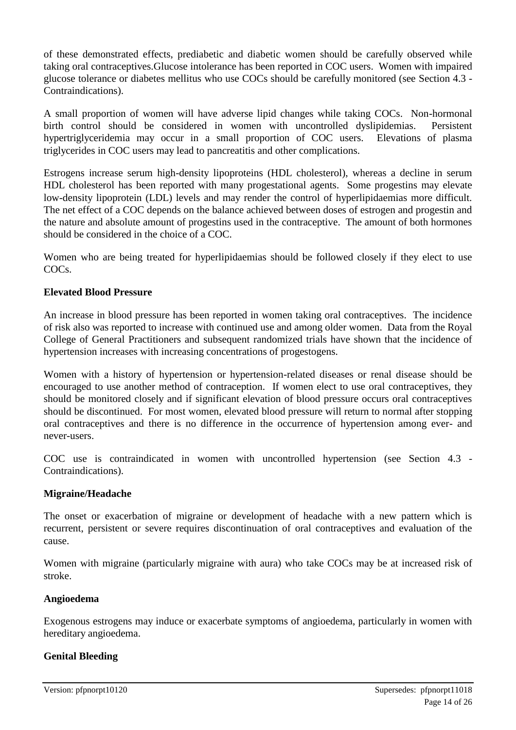of these demonstrated effects, prediabetic and diabetic women should be carefully observed while taking oral contraceptives.Glucose intolerance has been reported in COC users. Women with impaired glucose tolerance or diabetes mellitus who use COCs should be carefully monitored (see Section 4.3 - Contraindications).

A small proportion of women will have adverse lipid changes while taking COCs. Non-hormonal birth control should be considered in women with uncontrolled dyslipidemias. Persistent hypertriglyceridemia may occur in a small proportion of COC users. Elevations of plasma triglycerides in COC users may lead to pancreatitis and other complications.

Estrogens increase serum high-density lipoproteins (HDL cholesterol), whereas a decline in serum HDL cholesterol has been reported with many progestational agents. Some progestins may elevate low-density lipoprotein (LDL) levels and may render the control of hyperlipidaemias more difficult. The net effect of a COC depends on the balance achieved between doses of estrogen and progestin and the nature and absolute amount of progestins used in the contraceptive. The amount of both hormones should be considered in the choice of a COC.

Women who are being treated for hyperlipidaemias should be followed closely if they elect to use COCs.

#### **Elevated Blood Pressure**

An increase in blood pressure has been reported in women taking oral contraceptives. The incidence of risk also was reported to increase with continued use and among older women. Data from the Royal College of General Practitioners and subsequent randomized trials have shown that the incidence of hypertension increases with increasing concentrations of progestogens.

Women with a history of hypertension or hypertension-related diseases or renal disease should be encouraged to use another method of contraception. If women elect to use oral contraceptives, they should be monitored closely and if significant elevation of blood pressure occurs oral contraceptives should be discontinued. For most women, elevated blood pressure will return to normal after stopping oral contraceptives and there is no difference in the occurrence of hypertension among ever- and never-users.

COC use is contraindicated in women with uncontrolled hypertension (see Section 4.3 - Contraindications).

#### **Migraine/Headache**

The onset or exacerbation of migraine or development of headache with a new pattern which is recurrent, persistent or severe requires discontinuation of oral contraceptives and evaluation of the cause.

Women with migraine (particularly migraine with aura) who take COCs may be at increased risk of stroke.

#### **Angioedema**

Exogenous estrogens may induce or exacerbate symptoms of angioedema, particularly in women with hereditary angioedema.

#### **Genital Bleeding**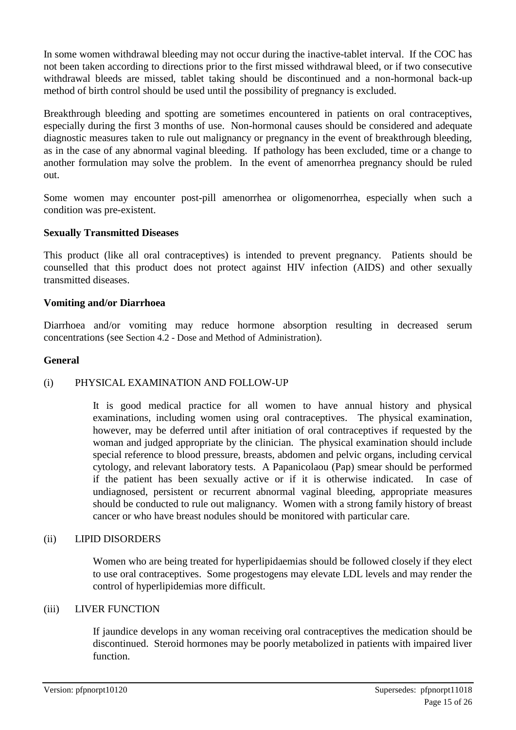In some women withdrawal bleeding may not occur during the inactive-tablet interval. If the COC has not been taken according to directions prior to the first missed withdrawal bleed, or if two consecutive withdrawal bleeds are missed, tablet taking should be discontinued and a non-hormonal back-up method of birth control should be used until the possibility of pregnancy is excluded.

Breakthrough bleeding and spotting are sometimes encountered in patients on oral contraceptives, especially during the first 3 months of use. Non-hormonal causes should be considered and adequate diagnostic measures taken to rule out malignancy or pregnancy in the event of breakthrough bleeding, as in the case of any abnormal vaginal bleeding. If pathology has been excluded, time or a change to another formulation may solve the problem. In the event of amenorrhea pregnancy should be ruled out.

Some women may encounter post-pill amenorrhea or oligomenorrhea, especially when such a condition was pre-existent.

#### **Sexually Transmitted Diseases**

This product (like all oral contraceptives) is intended to prevent pregnancy. Patients should be counselled that this product does not protect against HIV infection (AIDS) and other sexually transmitted diseases.

#### **Vomiting and/or Diarrhoea**

Diarrhoea and/or vomiting may reduce hormone absorption resulting in decreased serum concentrations (see Section 4.2 - Dose and Method of Administration).

#### **General**

#### (i) PHYSICAL EXAMINATION AND FOLLOW-UP

It is good medical practice for all women to have annual history and physical examinations, including women using oral contraceptives. The physical examination, however, may be deferred until after initiation of oral contraceptives if requested by the woman and judged appropriate by the clinician. The physical examination should include special reference to blood pressure, breasts, abdomen and pelvic organs, including cervical cytology, and relevant laboratory tests. A Papanicolaou (Pap) smear should be performed if the patient has been sexually active or if it is otherwise indicated. In case of undiagnosed, persistent or recurrent abnormal vaginal bleeding, appropriate measures should be conducted to rule out malignancy. Women with a strong family history of breast cancer or who have breast nodules should be monitored with particular care.

#### (ii) LIPID DISORDERS

Women who are being treated for hyperlipidaemias should be followed closely if they elect to use oral contraceptives. Some progestogens may elevate LDL levels and may render the control of hyperlipidemias more difficult.

#### (iii) LIVER FUNCTION

If jaundice develops in any woman receiving oral contraceptives the medication should be discontinued. Steroid hormones may be poorly metabolized in patients with impaired liver function.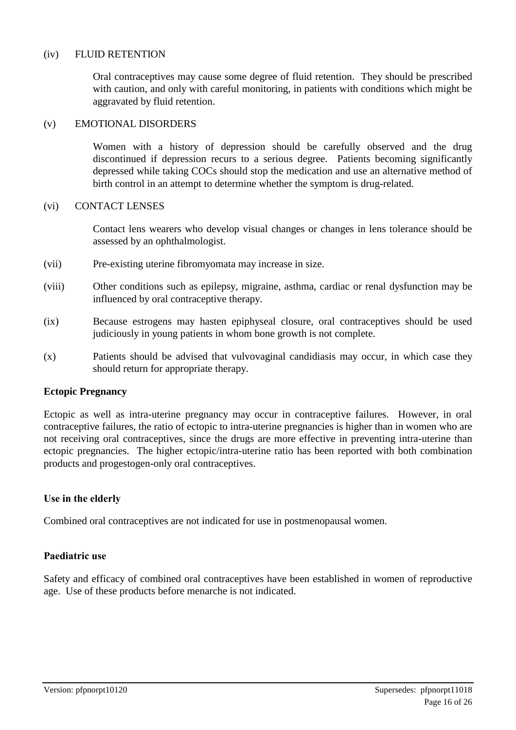#### (iv) FLUID RETENTION

Oral contraceptives may cause some degree of fluid retention. They should be prescribed with caution, and only with careful monitoring, in patients with conditions which might be aggravated by fluid retention.

#### (v) EMOTIONAL DISORDERS

Women with a history of depression should be carefully observed and the drug discontinued if depression recurs to a serious degree. Patients becoming significantly depressed while taking COCs should stop the medication and use an alternative method of birth control in an attempt to determine whether the symptom is drug-related.

#### (vi) CONTACT LENSES

Contact lens wearers who develop visual changes or changes in lens tolerance should be assessed by an ophthalmologist.

- (vii) Pre-existing uterine fibromyomata may increase in size.
- (viii) Other conditions such as epilepsy, migraine, asthma, cardiac or renal dysfunction may be influenced by oral contraceptive therapy.
- (ix) Because estrogens may hasten epiphyseal closure, oral contraceptives should be used judiciously in young patients in whom bone growth is not complete.
- (x) Patients should be advised that vulvovaginal candidiasis may occur, in which case they should return for appropriate therapy.

#### **Ectopic Pregnancy**

Ectopic as well as intra-uterine pregnancy may occur in contraceptive failures. However, in oral contraceptive failures, the ratio of ectopic to intra-uterine pregnancies is higher than in women who are not receiving oral contraceptives, since the drugs are more effective in preventing intra-uterine than ectopic pregnancies. The higher ectopic/intra-uterine ratio has been reported with both combination products and progestogen-only oral contraceptives.

#### **Use in the elderly**

Combined oral contraceptives are not indicated for use in postmenopausal women.

#### **Paediatric use**

Safety and efficacy of combined oral contraceptives have been established in women of reproductive age. Use of these products before menarche is not indicated.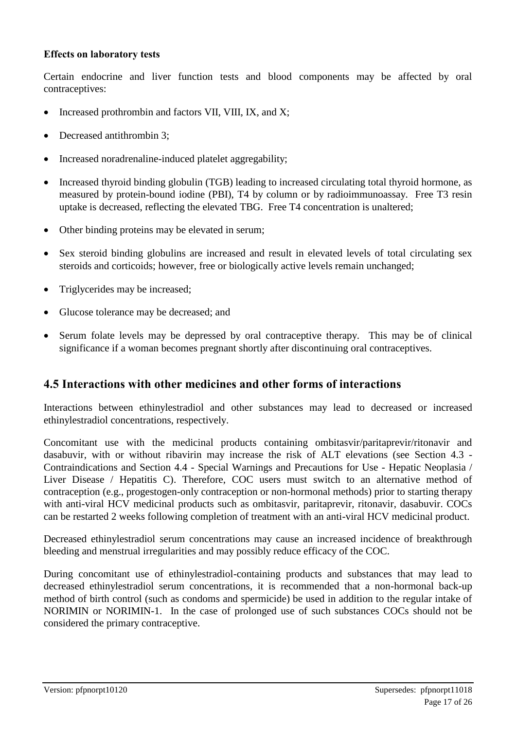#### **Effects on laboratory tests**

Certain endocrine and liver function tests and blood components may be affected by oral contraceptives:

- Increased prothrombin and factors VII, VIII, IX, and X;
- Decreased antithrombin 3;
- Increased noradrenaline-induced platelet aggregability;
- Increased thyroid binding globulin (TGB) leading to increased circulating total thyroid hormone, as measured by protein-bound iodine (PBI), T4 by column or by radioimmunoassay. Free T3 resin uptake is decreased, reflecting the elevated TBG. Free T4 concentration is unaltered;
- Other binding proteins may be elevated in serum;
- Sex steroid binding globulins are increased and result in elevated levels of total circulating sex steroids and corticoids; however, free or biologically active levels remain unchanged;
- Triglycerides may be increased;
- Glucose tolerance may be decreased; and
- Serum folate levels may be depressed by oral contraceptive therapy. This may be of clinical significance if a woman becomes pregnant shortly after discontinuing oral contraceptives.

### **4.5 Interactions with other medicines and other forms of interactions**

Interactions between ethinylestradiol and other substances may lead to decreased or increased ethinylestradiol concentrations, respectively.

Concomitant use with the medicinal products containing ombitasvir/paritaprevir/ritonavir and dasabuvir, with or without ribavirin may increase the risk of ALT elevations (see Section 4.3 - Contraindications and Section 4.4 - Special Warnings and Precautions for Use - Hepatic Neoplasia / Liver Disease / Hepatitis C). Therefore, COC users must switch to an alternative method of contraception (e.g., progestogen-only contraception or non-hormonal methods) prior to starting therapy with anti-viral HCV medicinal products such as ombitasvir, paritaprevir, ritonavir, dasabuvir. COCs can be restarted 2 weeks following completion of treatment with an anti-viral HCV medicinal product.

Decreased ethinylestradiol serum concentrations may cause an increased incidence of breakthrough bleeding and menstrual irregularities and may possibly reduce efficacy of the COC.

During concomitant use of ethinylestradiol-containing products and substances that may lead to decreased ethinylestradiol serum concentrations, it is recommended that a non-hormonal back-up method of birth control (such as condoms and spermicide) be used in addition to the regular intake of NORIMIN or NORIMIN-1. In the case of prolonged use of such substances COCs should not be considered the primary contraceptive.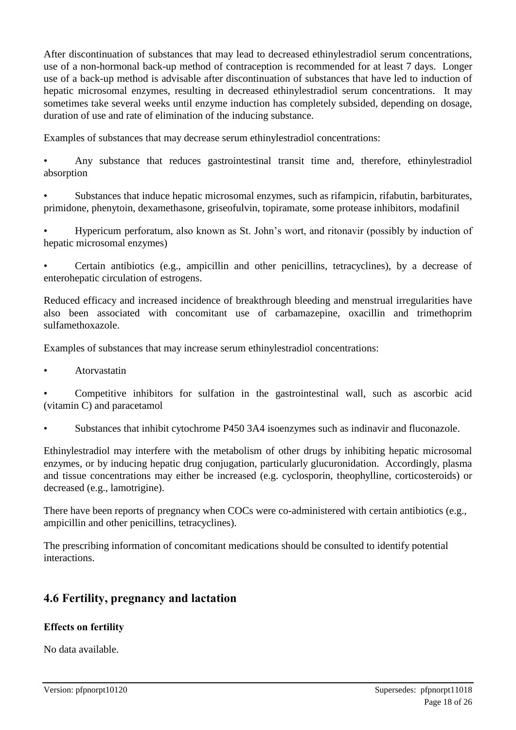After discontinuation of substances that may lead to decreased ethinylestradiol serum concentrations, use of a non-hormonal back-up method of contraception is recommended for at least 7 days. Longer use of a back-up method is advisable after discontinuation of substances that have led to induction of hepatic microsomal enzymes, resulting in decreased ethinylestradiol serum concentrations. It may sometimes take several weeks until enzyme induction has completely subsided, depending on dosage, duration of use and rate of elimination of the inducing substance.

Examples of substances that may decrease serum ethinylestradiol concentrations:

• Any substance that reduces gastrointestinal transit time and, therefore, ethinylestradiol absorption

• Substances that induce hepatic microsomal enzymes, such as rifampicin, rifabutin, barbiturates, primidone, phenytoin, dexamethasone, griseofulvin, topiramate, some protease inhibitors, modafinil

• Hypericum perforatum, also known as St. John's wort, and ritonavir (possibly by induction of hepatic microsomal enzymes)

• Certain antibiotics (e.g., ampicillin and other penicillins, tetracyclines), by a decrease of enterohepatic circulation of estrogens.

Reduced efficacy and increased incidence of breakthrough bleeding and menstrual irregularities have also been associated with concomitant use of carbamazepine, oxacillin and trimethoprim sulfamethoxazole.

Examples of substances that may increase serum ethinylestradiol concentrations:

• Atorvastatin

• Competitive inhibitors for sulfation in the gastrointestinal wall, such as ascorbic acid (vitamin C) and paracetamol

• Substances that inhibit cytochrome P450 3A4 isoenzymes such as indinavir and fluconazole.

Ethinylestradiol may interfere with the metabolism of other drugs by inhibiting hepatic microsomal enzymes, or by inducing hepatic drug conjugation, particularly glucuronidation. Accordingly, plasma and tissue concentrations may either be increased (e.g. cyclosporin, theophylline, corticosteroids) or decreased (e.g., lamotrigine).

There have been reports of pregnancy when COCs were co-administered with certain antibiotics (e.g., ampicillin and other penicillins, tetracyclines).

The prescribing information of concomitant medications should be consulted to identify potential interactions.

### **4.6 Fertility, pregnancy and lactation**

### **Effects on fertility**

No data available.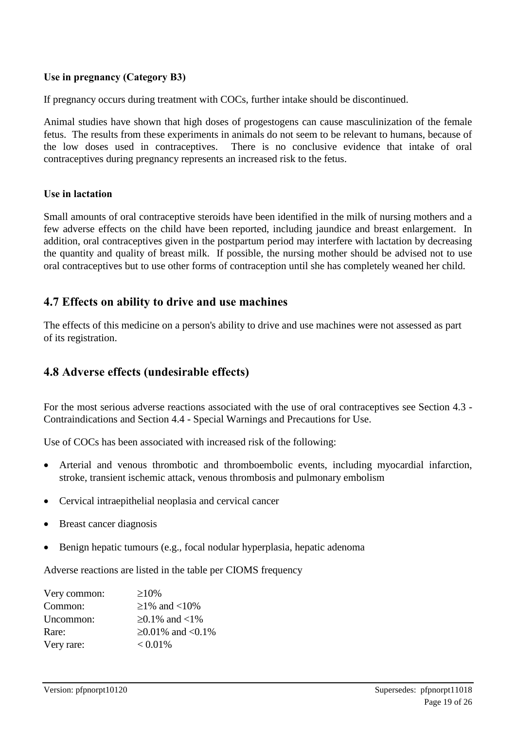### **Use in pregnancy (Category B3)**

If pregnancy occurs during treatment with COCs, further intake should be discontinued.

Animal studies have shown that high doses of progestogens can cause masculinization of the female fetus. The results from these experiments in animals do not seem to be relevant to humans, because of the low doses used in contraceptives. There is no conclusive evidence that intake of oral contraceptives during pregnancy represents an increased risk to the fetus.

#### **Use in lactation**

Small amounts of oral contraceptive steroids have been identified in the milk of nursing mothers and a few adverse effects on the child have been reported, including jaundice and breast enlargement. In addition, oral contraceptives given in the postpartum period may interfere with lactation by decreasing the quantity and quality of breast milk. If possible, the nursing mother should be advised not to use oral contraceptives but to use other forms of contraception until she has completely weaned her child.

### **4.7 Effects on ability to drive and use machines**

The effects of this medicine on a person's ability to drive and use machines were not assessed as part of its registration.

### **4.8 Adverse effects (undesirable effects)**

For the most serious adverse reactions associated with the use of oral contraceptives see Section 4.3 - Contraindications and Section 4.4 - Special Warnings and Precautions for Use.

Use of COCs has been associated with increased risk of the following:

- Arterial and venous thrombotic and thromboembolic events, including myocardial infarction, stroke, transient ischemic attack, venous thrombosis and pulmonary embolism
- Cervical intraepithelial neoplasia and cervical cancer
- Breast cancer diagnosis
- Benign hepatic tumours (e.g., focal nodular hyperplasia, hepatic adenoma

Adverse reactions are listed in the table per CIOMS frequency

| Very common: | $\geq 10\%$             |
|--------------|-------------------------|
| Common:      | ≥1% and <10%            |
| Uncommon:    | $≥0.1\%$ and <1%        |
| Rare:        | $\geq 0.01\%$ and <0.1% |
| Very rare:   | $< 0.01\%$              |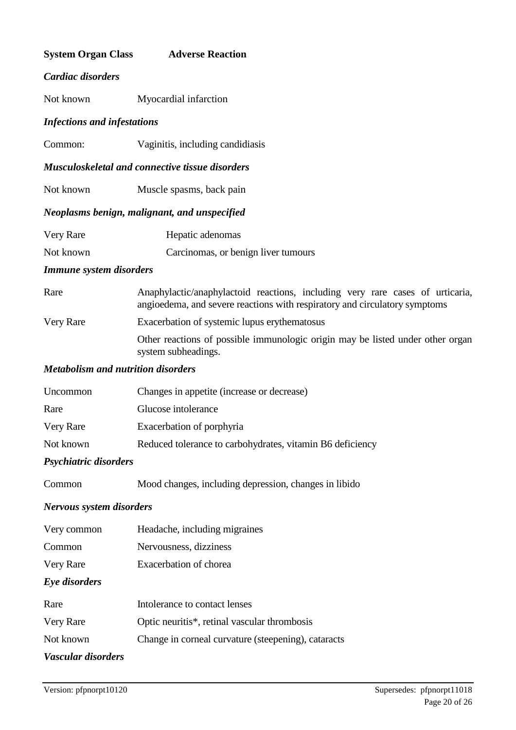| <b>System Organ Class</b>                 | <b>Adverse Reaction</b>                                                                                                                                     |
|-------------------------------------------|-------------------------------------------------------------------------------------------------------------------------------------------------------------|
| Cardiac disorders                         |                                                                                                                                                             |
| Not known                                 | Myocardial infarction                                                                                                                                       |
| <b>Infections and infestations</b>        |                                                                                                                                                             |
| Common:                                   | Vaginitis, including candidiasis                                                                                                                            |
|                                           | <b>Musculoskeletal and connective tissue disorders</b>                                                                                                      |
| Not known                                 | Muscle spasms, back pain                                                                                                                                    |
|                                           | Neoplasms benign, malignant, and unspecified                                                                                                                |
| Very Rare                                 | Hepatic adenomas                                                                                                                                            |
| Not known                                 | Carcinomas, or benign liver tumours                                                                                                                         |
| <b>Immune system disorders</b>            |                                                                                                                                                             |
| Rare                                      | Anaphylactic/anaphylactoid reactions, including very rare cases of urticaria,<br>angioedema, and severe reactions with respiratory and circulatory symptoms |
| Very Rare                                 | Exacerbation of systemic lupus erythematosus                                                                                                                |
|                                           | Other reactions of possible immunologic origin may be listed under other organ<br>system subheadings.                                                       |
| <b>Metabolism and nutrition disorders</b> |                                                                                                                                                             |
| Uncommon                                  | Changes in appetite (increase or decrease)                                                                                                                  |
| Rare                                      | Glucose intolerance                                                                                                                                         |
| Very Rare                                 | Exacerbation of porphyria                                                                                                                                   |
| Not known                                 | Reduced tolerance to carbohydrates, vitamin B6 deficiency                                                                                                   |
| Psychiatric disorders                     |                                                                                                                                                             |
| Common                                    | Mood changes, including depression, changes in libido                                                                                                       |
| <b>Nervous system disorders</b>           |                                                                                                                                                             |
| Very common                               | Headache, including migraines                                                                                                                               |
| Common                                    | Nervousness, dizziness                                                                                                                                      |
| Very Rare                                 | Exacerbation of chorea                                                                                                                                      |
| Eye disorders                             |                                                                                                                                                             |
| Rare                                      | Intolerance to contact lenses                                                                                                                               |
| Very Rare                                 | Optic neuritis*, retinal vascular thrombosis                                                                                                                |
| Not known                                 | Change in corneal curvature (steepening), cataracts                                                                                                         |
| Vascular disorders                        |                                                                                                                                                             |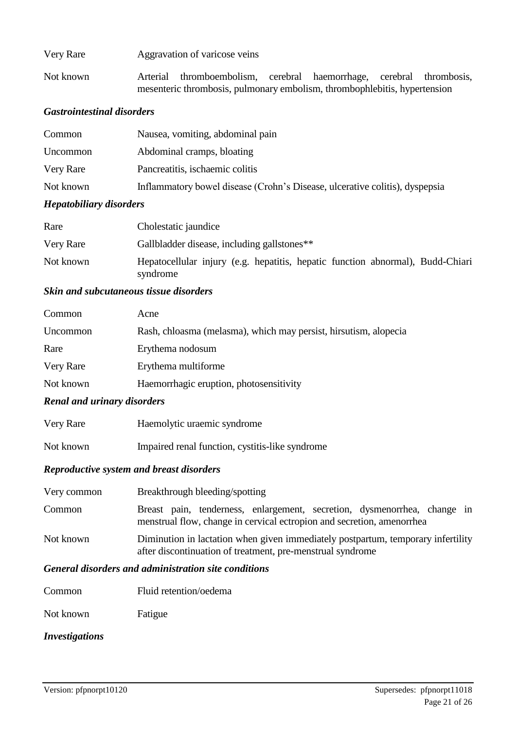| Very Rare | Aggravation of varicose veins                                                                                                                     |  |  |
|-----------|---------------------------------------------------------------------------------------------------------------------------------------------------|--|--|
| Not known | Arterial thromboembolism, cerebral haemorrhage, cerebral thrombosis,<br>mesenteric thrombosis, pulmonary embolism, thrombophlebitis, hypertension |  |  |

#### *Gastrointestinal disorders*

| Common    | Nausea, vomiting, abdominal pain                                            |
|-----------|-----------------------------------------------------------------------------|
| Uncommon  | Abdominal cramps, bloating                                                  |
| Very Rare | Pancreatitis, ischaemic colitis                                             |
| Not known | Inflammatory bowel disease (Crohn's Disease, ulcerative colitis), dyspepsia |

#### *Hepatobiliary disorders*

| Rare      | Cholestatic jaundice                                                                       |
|-----------|--------------------------------------------------------------------------------------------|
| Very Rare | Gallbladder disease, including gallstones**                                                |
| Not known | Hepatocellular injury (e.g. hepatitis, hepatic function abnormal), Budd-Chiari<br>syndrome |

#### *Skin and subcutaneous tissue disorders*

| Common           | Acne                                                             |
|------------------|------------------------------------------------------------------|
| Uncommon         | Rash, chloasma (melasma), which may persist, hirsutism, alopecia |
| Rare             | Erythema nodosum                                                 |
| <b>Very Rare</b> | Erythema multiforme                                              |
| Not known        | Haemorrhagic eruption, photosensitivity                          |

#### *Renal and urinary disorders*

| Very Rare | Haemolytic uraemic syndrome                     |
|-----------|-------------------------------------------------|
| Not known | Impaired renal function, cystitis-like syndrome |

#### *Reproductive system and breast disorders*

| Very common | Breakthrough bleeding/spotting                                                                                                                     |  |  |
|-------------|----------------------------------------------------------------------------------------------------------------------------------------------------|--|--|
| Common      | Breast pain, tenderness, enlargement, secretion, dysmenorrhea, change in<br>menstrual flow, change in cervical ectropion and secretion, amenorrhea |  |  |
| Not known   | Diminution in lactation when given immediately postpartum, temporary infertility<br>after discontinuation of treatment, pre-menstrual syndrome     |  |  |

### *General disorders and administration site conditions*

| Not known | Fatigue |
|-----------|---------|
|-----------|---------|

### *Investigations*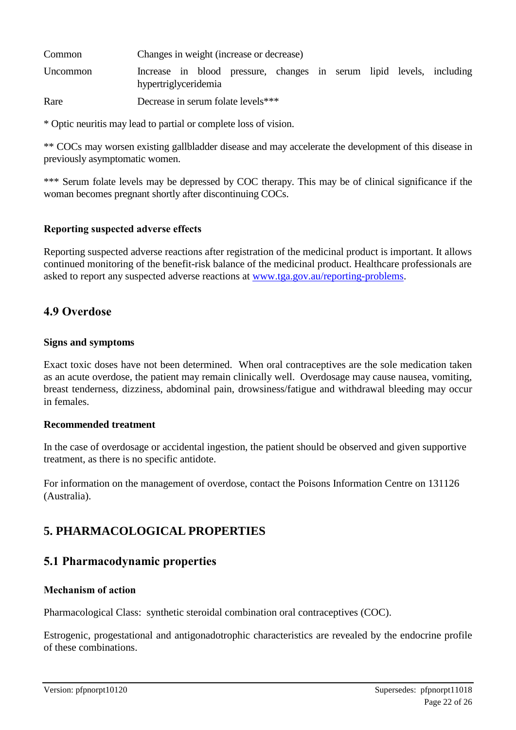| Common   | Changes in weight (increase or decrease)                                                     |  |  |  |
|----------|----------------------------------------------------------------------------------------------|--|--|--|
| Uncommon | Increase in blood pressure, changes in serum lipid levels, including<br>hypertriglyceridemia |  |  |  |
| Rare     | Decrease in serum folate levels***                                                           |  |  |  |

\* Optic neuritis may lead to partial or complete loss of vision.

\*\* COCs may worsen existing gallbladder disease and may accelerate the development of this disease in previously asymptomatic women.

\*\*\* Serum folate levels may be depressed by COC therapy. This may be of clinical significance if the woman becomes pregnant shortly after discontinuing COCs.

#### **Reporting suspected adverse effects**

Reporting suspected adverse reactions after registration of the medicinal product is important. It allows continued monitoring of the benefit-risk balance of the medicinal product. Healthcare professionals are asked to report any suspected adverse reactions at [www.tga.gov.au/reporting-problems.](http://www.tga.gov.au/reporting-problems)

### **4.9 Overdose**

#### **Signs and symptoms**

Exact toxic doses have not been determined. When oral contraceptives are the sole medication taken as an acute overdose, the patient may remain clinically well. Overdosage may cause nausea, vomiting, breast tenderness, dizziness, abdominal pain, drowsiness/fatigue and withdrawal bleeding may occur in females.

#### **Recommended treatment**

In the case of overdosage or accidental ingestion, the patient should be observed and given supportive treatment, as there is no specific antidote.

For information on the management of overdose, contact the Poisons Information Centre on 131126 (Australia).

# **5. PHARMACOLOGICAL PROPERTIES**

### **5.1 Pharmacodynamic properties**

#### **Mechanism of action**

Pharmacological Class: synthetic steroidal combination oral contraceptives (COC).

Estrogenic, progestational and antigonadotrophic characteristics are revealed by the endocrine profile of these combinations.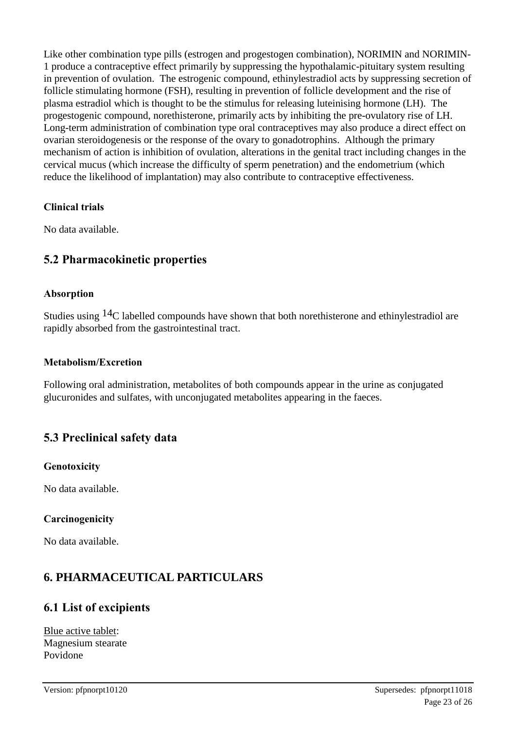Like other combination type pills (estrogen and progestogen combination), NORIMIN and NORIMIN-1 produce a contraceptive effect primarily by suppressing the hypothalamic-pituitary system resulting in prevention of ovulation. The estrogenic compound, ethinylestradiol acts by suppressing secretion of follicle stimulating hormone (FSH), resulting in prevention of follicle development and the rise of plasma estradiol which is thought to be the stimulus for releasing luteinising hormone (LH). The progestogenic compound, norethisterone, primarily acts by inhibiting the pre-ovulatory rise of LH. Long-term administration of combination type oral contraceptives may also produce a direct effect on ovarian steroidogenesis or the response of the ovary to gonadotrophins. Although the primary mechanism of action is inhibition of ovulation, alterations in the genital tract including changes in the cervical mucus (which increase the difficulty of sperm penetration) and the endometrium (which reduce the likelihood of implantation) may also contribute to contraceptive effectiveness.

### **Clinical trials**

No data available.

### **5.2 Pharmacokinetic properties**

#### **Absorption**

Studies using 14C labelled compounds have shown that both norethisterone and ethinylestradiol are rapidly absorbed from the gastrointestinal tract.

#### **Metabolism/Excretion**

Following oral administration, metabolites of both compounds appear in the urine as conjugated glucuronides and sulfates, with unconjugated metabolites appearing in the faeces.

### **5.3 Preclinical safety data**

### **Genotoxicity**

No data available.

### **Carcinogenicity**

No data available.

# **6. PHARMACEUTICAL PARTICULARS**

### **6.1 List of excipients**

Blue active tablet: Magnesium stearate Povidone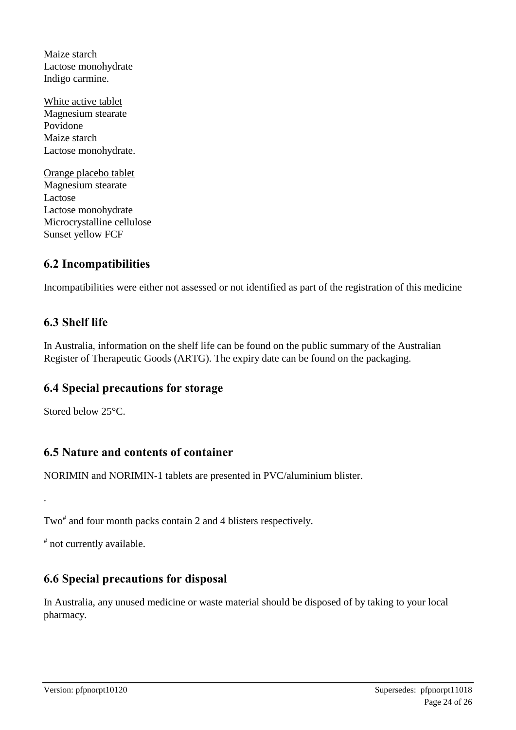Maize starch Lactose monohydrate Indigo carmine.

- White active tablet Magnesium stearate Povidone Maize starch Lactose monohydrate.
- Orange placebo tablet Magnesium stearate Lactose Lactose monohydrate Microcrystalline cellulose Sunset yellow FCF

# **6.2 Incompatibilities**

Incompatibilities were either not assessed or not identified as part of the registration of this medicine

# **6.3 Shelf life**

In Australia, information on the shelf life can be found on the public summary of the Australian Register of Therapeutic Goods (ARTG). The expiry date can be found on the packaging.

### **6.4 Special precautions for storage**

Stored below 25°C.

.

### **6.5 Nature and contents of container**

NORIMIN and NORIMIN-1 tablets are presented in PVC/aluminium blister.

Two<sup>#</sup> and four month packs contain 2 and 4 blisters respectively.

# not currently available.

# **6.6 Special precautions for disposal**

In Australia, any unused medicine or waste material should be disposed of by taking to your local pharmacy.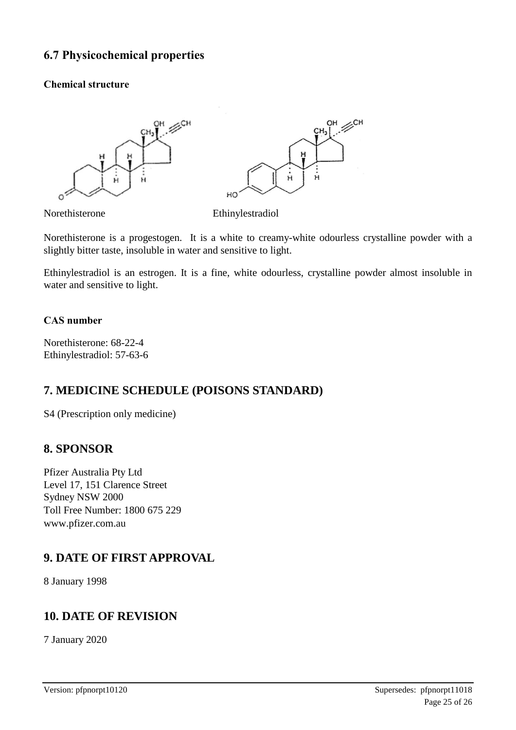### **6.7 Physicochemical properties**

#### **Chemical structure**



Norethisterone Ethinylestradiol

Norethisterone is a progestogen. It is a white to creamy-white odourless crystalline powder with a slightly bitter taste, insoluble in water and sensitive to light.

Ethinylestradiol is an estrogen. It is a fine, white odourless, crystalline powder almost insoluble in water and sensitive to light.

#### **CAS number**

Norethisterone: 68-22-4 Ethinylestradiol: 57-63-6

### **7. MEDICINE SCHEDULE (POISONS STANDARD)**

S4 (Prescription only medicine)

### **8. SPONSOR**

Pfizer Australia Pty Ltd Level 17, 151 Clarence Street Sydney NSW 2000 Toll Free Number: 1800 675 229 www.pfizer.com.au

### **9. DATE OF FIRST APPROVAL**

8 January 1998

### **10. DATE OF REVISION**

7 January 2020